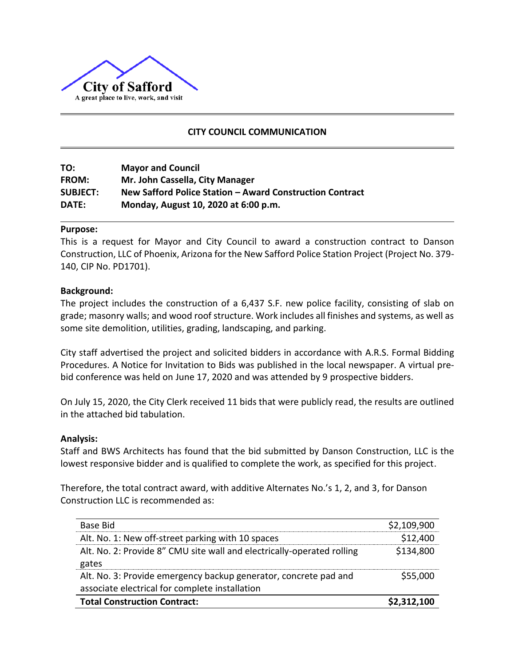

## **CITY COUNCIL COMMUNICATION**

**TO: Mayor and Council FROM: Mr. John Cassella, City Manager SUBJECT: New Safford Police Station – Award Construction Contract DATE: Monday, August 10, 2020 at 6:00 p.m.**

#### **Purpose:**

This is a request for Mayor and City Council to award a construction contract to Danson Construction, LLC of Phoenix, Arizona for the New Safford Police Station Project (Project No. 379- 140, CIP No. PD1701).

## **Background:**

The project includes the construction of a 6,437 S.F. new police facility, consisting of slab on grade; masonry walls; and wood roof structure. Work includes all finishes and systems, as well as some site demolition, utilities, grading, landscaping, and parking.

City staff advertised the project and solicited bidders in accordance with A.R.S. Formal Bidding Procedures. A Notice for Invitation to Bids was published in the local newspaper. A virtual prebid conference was held on June 17, 2020 and was attended by 9 prospective bidders.

On July 15, 2020, the City Clerk received 11 bids that were publicly read, the results are outlined in the attached bid tabulation.

## **Analysis:**

Staff and BWS Architects has found that the bid submitted by Danson Construction, LLC is the lowest responsive bidder and is qualified to complete the work, as specified for this project.

Therefore, the total contract award, with additive Alternates No.'s 1, 2, and 3, for Danson Construction LLC is recommended as:

| Base Bid                                                                                                           | \$2,109,900 |
|--------------------------------------------------------------------------------------------------------------------|-------------|
| Alt. No. 1: New off-street parking with 10 spaces                                                                  | \$12,400    |
| Alt. No. 2: Provide 8" CMU site wall and electrically-operated rolling<br>gates                                    | \$134,800   |
| Alt. No. 3: Provide emergency backup generator, concrete pad and<br>associate electrical for complete installation | \$55,000    |
| <b>Total Construction Contract:</b>                                                                                | \$2,312,100 |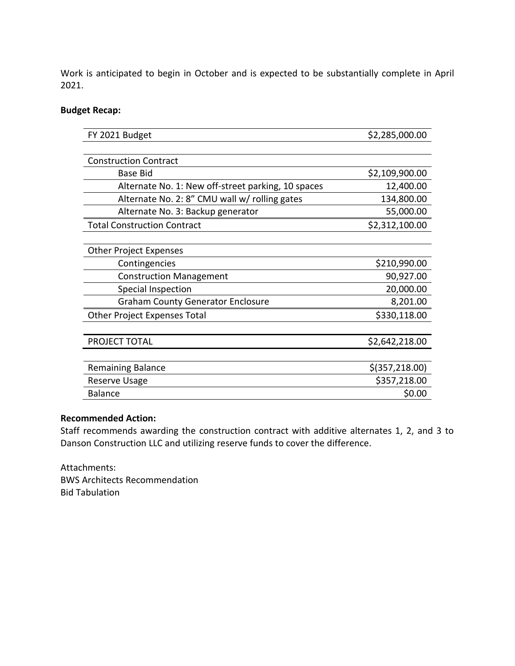Work is anticipated to begin in October and is expected to be substantially complete in April 2021.

## **Budget Recap:**

| FY 2021 Budget                                     | \$2,285,000.00   |  |  |  |
|----------------------------------------------------|------------------|--|--|--|
|                                                    |                  |  |  |  |
| <b>Construction Contract</b>                       |                  |  |  |  |
| <b>Base Bid</b>                                    | \$2,109,900.00   |  |  |  |
| Alternate No. 1: New off-street parking, 10 spaces | 12,400.00        |  |  |  |
| Alternate No. 2: 8" CMU wall w/ rolling gates      | 134,800.00       |  |  |  |
| Alternate No. 3: Backup generator                  | 55,000.00        |  |  |  |
| <b>Total Construction Contract</b>                 | \$2,312,100.00   |  |  |  |
|                                                    |                  |  |  |  |
| <b>Other Project Expenses</b>                      |                  |  |  |  |
| Contingencies                                      | \$210,990.00     |  |  |  |
| <b>Construction Management</b>                     | 90,927.00        |  |  |  |
| Special Inspection                                 | 20,000.00        |  |  |  |
| <b>Graham County Generator Enclosure</b>           | 8,201.00         |  |  |  |
| Other Project Expenses Total                       | \$330,118.00     |  |  |  |
|                                                    |                  |  |  |  |
| PROJECT TOTAL                                      | \$2,642,218.00   |  |  |  |
|                                                    |                  |  |  |  |
| <b>Remaining Balance</b>                           | $$$ (357,218.00) |  |  |  |
| Reserve Usage                                      | \$357,218.00     |  |  |  |
| <b>Balance</b>                                     | \$0.00           |  |  |  |

## **Recommended Action:**

Staff recommends awarding the construction contract with additive alternates 1, 2, and 3 to Danson Construction LLC and utilizing reserve funds to cover the difference.

Attachments: BWS Architects Recommendation Bid Tabulation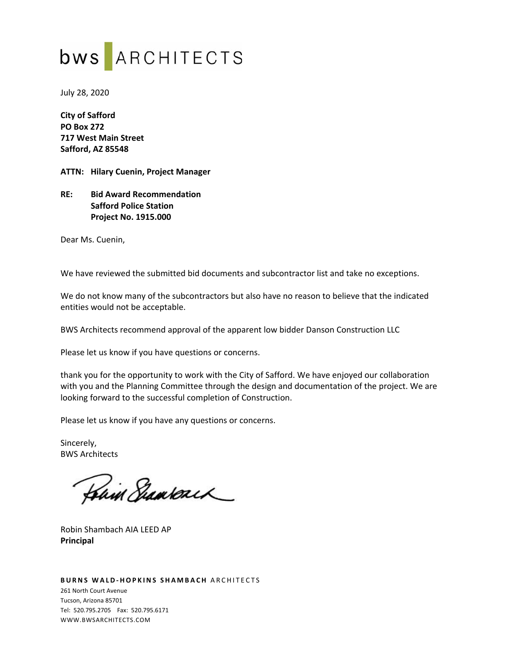# bws ARCHITECTS

July 28, 2020

**City of Safford PO Box 272 717 West Main Street Safford, AZ 85548** 

**ATTN: Hilary Cuenin, Project Manager** 

**RE: Bid Award Recommendation Safford Police Station Project No. 1915.000** 

Dear Ms. Cuenin,

We have reviewed the submitted bid documents and subcontractor list and take no exceptions.

We do not know many of the subcontractors but also have no reason to believe that the indicated entities would not be acceptable.

BWS Architects recommend approval of the apparent low bidder Danson Construction LLC

Please let us know if you have questions or concerns.

thank you for the opportunity to work with the City of Safford. We have enjoyed our collaboration with you and the Planning Committee through the design and documentation of the project. We are looking forward to the successful completion of Construction.

Please let us know if you have any questions or concerns.

Sincerely, BWS Architects

Hain Shamsonch

Robin Shambach AIA LEED AP **Principal** 

#### **BURNS WALD-HOPKINS SHAMBACH ARCHITECTS** 261 North Court Avenue Tucson, Arizona 85701 Tel: 520.795.2705 Fax: 520.795.6171 WWW.BWSARCHITECTS.COM